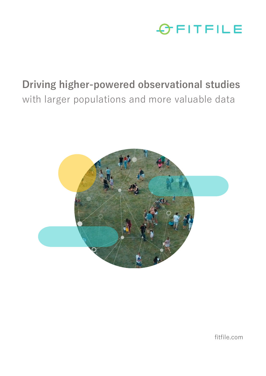

## **Driving higher-powered observational studies**  with larger populations and more valuable data



fitfile.com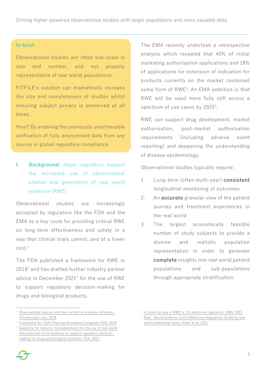Driving higher-powered observational studies with larger populations and more valuable data

## **In brief**

Observational studies are often sub-scale in size and number, and not properly representative of real world populations.

FITFILE's solution can dramatically increase the size and completeness of studies whilst ensuring subject privacy is preserved at all times.

How? By enabling the previously unachievable unification of fully anonymised data from any source in global regulatory compliance.

**I. Background:** major regulators support the increased use of observational studies and generation of real world evidence (RWE)

Observational studies are increasingly accepted by regulators like the FDA and the EMA as a key route for providing critical RWE on long-term effectiveness and safety in a way that clinical trials cannot, and at a lower cost.<sup>1</sup>

The FDA published a framework for RWE in 2018<sup>2</sup> and has drafted further industry partner advice in December 2021<sup>3</sup> for the use of RWE to support regulatory decision-making for drugs and biological products.

The EMA recently undertook a retrospective analysis which revealed that 40% of initial marketing authorisation applications and 18% of applications for extension of indication for products currently on the market contained some form of RWE<sup>4</sup>. An EMA ambition is that RWE will be used more fully still across a spectrum of use cases by 2025<sup>5</sup>.

RWE can support drug development, market authorisation, post-market authorisation requirements (including adverse event reporting) and deepening the understanding of disease epidemiology.

Observational studies typically require:

- 1. Long-term (often multi-year) **consistent** longitudinal monitoring of outcomes
- 2. An **accurate** granular view of the patient journey and treatment experiences in the real world
- 3. The largest economically feasible number of study subjects to provide a diverse and realistic population representation in order to generate **complete** insights into real world patient populations and sub-populations through appropriate stratification.

<sup>1</sup> [Observational studies and their utility for practice, Gilmartin-](https://www.ncbi.nlm.nih.gov/pmc/articles/PMC6003013/)[Thomas and Liew, 2018](https://www.ncbi.nlm.nih.gov/pmc/articles/PMC6003013/)

<sup>2</sup> [Framework for FDA's Real world evidence program, FDA, 2018](https://www.fda.gov/media/120060/download)

[Guidance for Industry: Considerations for the](https://www.fda.gov/media/154714/download) use of real world [data and real world evidence to support regulatory decision](https://www.fda.gov/media/154714/download)[making for drug and biological products, FDA, 2021](https://www.fda.gov/media/154714/download)

<sup>4</sup> A vision for use of RWE [in EU medicines regulation, EMA, 2021](https://www.ema.europa.eu/en/news/vision-use-real-world-evidence-eu-medicines-regulation)

<sup>5</sup> Real‐Wor[ld Evidence in EU Medicines Regulation: Enabling Use](https://ascpt.onlinelibrary.wiley.com/doi/full/10.1002/cpt.2479)  [and Establishing Value, Arlett et al, 2021](https://ascpt.onlinelibrary.wiley.com/doi/full/10.1002/cpt.2479)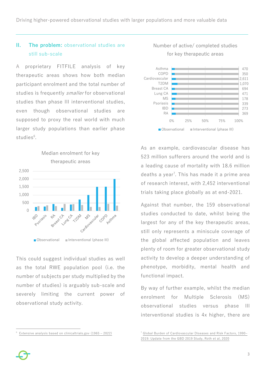Driving higher-powered observational studies with larger populations and more valuable data

## **II. The problem:** observational studies are still sub-scale

A proprietary FITFILE analysis of key therapeutic areas shows how both median participant enrolment and the total number of studies is frequently smaller for observational studies than phase III interventional studies, even though observational studies are supposed to proxy the real world with much larger study populations than earlier phase studies<sup>6</sup>.

Median enrolment for key



This could suggest individual studies as well as the total RWE population pool (i.e. the number of subjects per study multiplied by the number of studies) is arguably sub-scale and severely limiting the current power of observational study activity.





As an example, cardiovascular disease has 523 million sufferers around the world and is a leading cause of mortality with 18.6 million deaths a year<sup>7</sup>. This has made it a prime area of research interest, with 2,452 interventional trials taking place globally as at end-2021.

Against that number, the 159 observational studies conducted to date, whilst being the largest for any of the key therapeutic areas, still only represents a miniscule coverage of the global affected population and leaves plenty of room for greater observational study activity to develop a deeper understanding of phenotype, morbidity, mental health and functional impact.

By way of further example, whilst the median enrolment for Multiple Sclerosis (MS) observational studies versus phase III interventional studies is 4x higher, there are



<sup>6</sup> Extensive analysis based on clinicaltrials.gov (1965 – 2022)

<sup>7</sup> [Global Burden of Cardiovascular Diseases and Risk Factors, 1990](https://www.sciencedirect.com/science/article/pii/S0735109720377755)– [2019: Update from the GBD 2019 Study, Roth et al, 2020](https://www.sciencedirect.com/science/article/pii/S0735109720377755)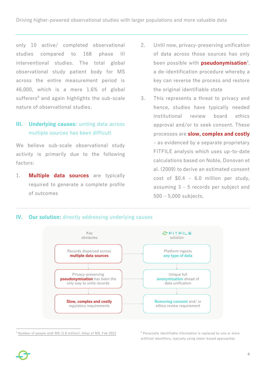only 10 active/ completed observational studies compared to 168 phase III interventional studies. The total global observational study patient body for MS across the entire measurement period is 46,000, which is a mere 1.6% of global sufferers<sup>8</sup> and again highlights the sub-scale nature of observational studies.

## **III. Underlying causes:** uniting data across multiple sources has been difficult

We believe sub-scale observational study activity is primarily due to the following factors:

1. **Multiple data sources** are typically required to generate a complete profile of outcomes

- 2. Until now, privacy-preserving unification of data across those sources has only been possible with **pseudonymisation**<sup>9</sup> , a de-identification procedure whereby a key can reverse the process and restore the original identifiable state
- 3. This represents a threat to privacy and hence, studies have typically needed institutional review board ethics approval and/or to seek consent. These processes are **slow, complex and costly** – as evidenced by a separate proprietary FITFILE analysis which uses up-to-date calculations based on Noble, Donovan et al. (2009) to derive an estimated consent cost of  $$0.4 - 6.0$  million per study, assuming 3 – 5 records per subject and 500 – 5,000 subjects.





<sup>8</sup> Number of people with MS [\(2.8 million\), Atlas of MS, Feb 2022](https://www.atlasofms.org/map/global/epidemiology/number-of-people-with-ms#:~:text=There%20are%202.8%20million%20people%20living%20with%20MS%20worldwide.) <sup>9</sup> Personally identifiable information is replaced by one or more artificial identifiers, typically using token-based approaches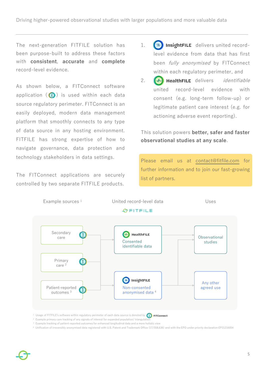The next-generation FITFILE solution has been purpose-built to address these factors with **consistent**, **accurate** and **complete** record-level evidence.

As shown below, a FITConnect software application  $\left( \circled{2} \right)$  is used within each data source regulatory perimeter. FITConnect is an easily deployed, modern data management platform that smoothly connects to any type of data source in any hosting environment. FITFILE has strong expertise of how to navigate governance, data protection and technology stakeholders in data settings.

The FITConnect applications are securely controlled by two separate FITFILE products.

- 1.  $\left(\equiv\right)$  InsightFILE delivers united recordlevel evidence from data that has first been *fully anonymised* by FITConnect within each regulatory perimeter, and
- 2.  $\left(\frac{1}{2}\right)$  HealthFILE delivers *identifiable* united record-level evidence with consent (e.g. long-term follow-up) or legitimate patient care interest (e.g. for actioning adverse event reporting).

This solution powers **better, safer and faster observational studies at any scale**.

Please email us at [contact@fitfile.com](mailto:contact@fitfile.com) for further information and to join our fast-growing list of partners.



 $^{\rm 1}$  Usage of FITFILE's software within regulatory perimeter of each data source is denoted by

- $2$  Example primary care tracking of any signals of interest for expanded population/triangulation
- $^3$  Example tracking of patient-reported outcomes for enhanced longitudinal data and a more holistic view
- 4 Unification of irreversibly anonymised data registered with U.S. Patent and Trademark Office (17/558,636) and with the EPO under priority declaration EP21216054